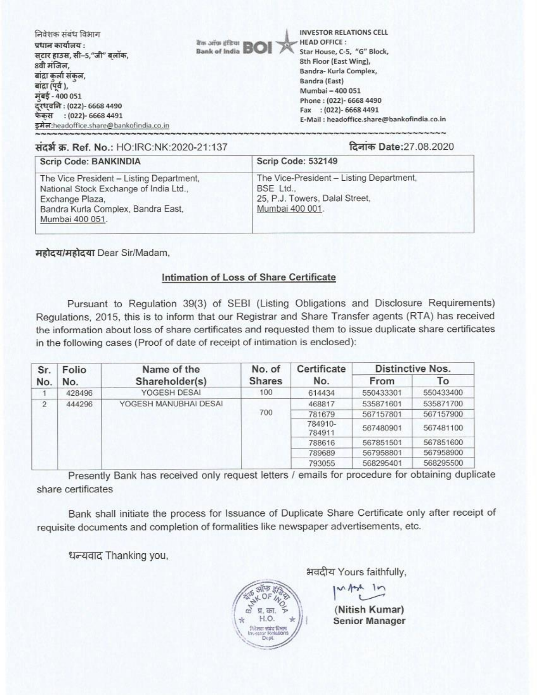| निवेशक संबंध विभाग<br>प्रधान कार्यालय :<br>सटार हाउस, सी–5,"जी" बलॉक,<br>8वी मंजिल,<br>बाद्रा कर्ला संकल,<br>बाद्रा (पूर्व),<br>मुंबई - 400 051<br>दूरध्वनि : (022)- 6668 4490<br>फेकस : (022)- 6668 4491<br>इमेल:headoffice.share@bankofindia.co.in | <b>INVESTOR RELATIONS CELL</b><br><b>HEAD OFFICE:</b><br><b>It's any officer BOI</b><br>Star House, C-5, "G" Block,<br><b>Bank of India</b><br>8th Floor (East Wing),<br>Bandra-Kurla Complex,<br>Bandra (East)<br>Mumbai - 400 051<br>Phone: (022)- 6668 4490<br>Fax: (022)-6668 4491<br>E-Mail: headoffice.share@bankofindia.co.in |
|------------------------------------------------------------------------------------------------------------------------------------------------------------------------------------------------------------------------------------------------------|--------------------------------------------------------------------------------------------------------------------------------------------------------------------------------------------------------------------------------------------------------------------------------------------------------------------------------------|
|------------------------------------------------------------------------------------------------------------------------------------------------------------------------------------------------------------------------------------------------------|--------------------------------------------------------------------------------------------------------------------------------------------------------------------------------------------------------------------------------------------------------------------------------------------------------------------------------------|

संदर्भ क्र. Ref. No.: HO:IRC:NK:2020-21:137

दिनांक Date: 27.08.2020

| Scrip Code: BANKINDIA                                                                                                                                          | <b>Scrip Code: 532149</b>                                                                                  |  |  |
|----------------------------------------------------------------------------------------------------------------------------------------------------------------|------------------------------------------------------------------------------------------------------------|--|--|
| The Vice President - Listing Department,<br>National Stock Exchange of India Ltd.,<br>Exchange Plaza,<br>Bandra Kurla Complex, Bandra East,<br>Mumbai 400 051. | The Vice-President - Listing Department,<br>BSE Ltd.,<br>25, P.J. Towers, Dalal Street,<br>Mumbai 400 001. |  |  |

महोदय/महोदया Dear Sir/Madam,

## Intimation of Loss of Share Certificate

Pursuant to Regulation 39(3) of SEBI (Listing Obligations and Disclosure Requirements) Regulations, 2015, this is to inform that our Registrar and Share Transfer agents (RTA) has received the information about loss of share certificates and requested them to issue duplicate share certificates in the following cases (Proof of date of receipt of intimation is enclosed):

| Sr.            | Folio<br>No. | Name of the<br>Shareholder(s) | No. of<br><b>Shares</b> | Certificate<br>No. | <b>Distinctive Nos.</b> |           |
|----------------|--------------|-------------------------------|-------------------------|--------------------|-------------------------|-----------|
| No.            |              |                               |                         |                    | From                    | To        |
|                | 428496       | YOGESH DESAI                  | 100                     | 614434             | 550433301               | 550433400 |
| $\overline{2}$ | 444296       | YOGESH MANUBHAI DESAI         | 700                     | 468817             | 535871601               | 535871700 |
|                |              |                               |                         | 781679             | 567157801               | 567157900 |
|                |              |                               |                         | 784910-<br>784911  | 567480901               | 567481100 |
|                |              |                               |                         | 788616             | 567851501               | 567851600 |
|                |              |                               |                         | 789689             | 567958801               | 567958900 |
|                |              |                               |                         | 793055             | 568295401               | 568295500 |

Presently Bank has received only request letters / emails for procedure for obtaining duplicate share certificates

Bank shall initiate the process for Issuance of Duplicate Share Certificate only after receipt of requisite documents and completion of formalities like newspaper advertisements, etc.

धन्यवाद Thanking you,

भवदीय Yours faithfully,

(Nitish Kumar) **Senior Manager**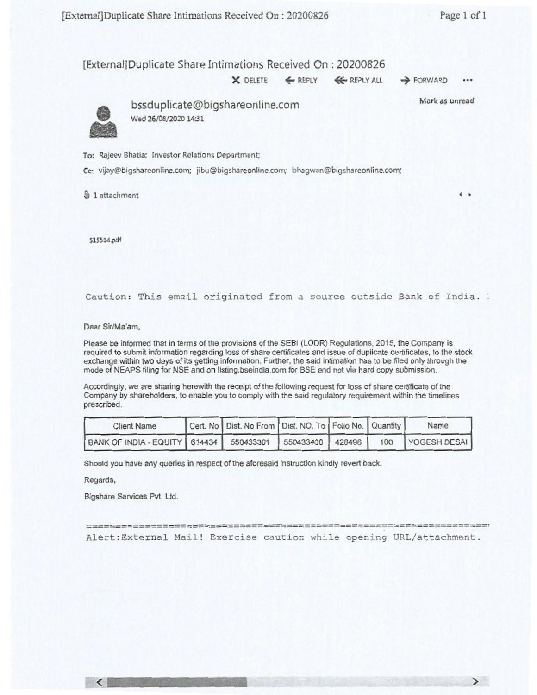$\rightarrow$ 

 $\rightarrow$ 

## [External]Duplicate Share Intimations Received On : 20200826

X DELETE **4-** REPLY 4E- REPLY ALL FORWARD **•••** 

Mark as unread



• bssduplicate@bigshareonline.com Wed 26/08/2020 14:31

To: Rajeev Bhatia; Investor Relations Department;

Cc: vijay@bigshareonline.com; jibu@bigshareonline.com; bhagwan@bigshareonline.com;

**kb 1** attachment

515554.pdf

Caution: This email originated from a source outside Bank of India.

Dear Sir/Ma'am,

Please be informed that in terms of the provisions of the SEBI (LODR) Regulations, 2015, the Company is required to submit information regarding loss of share certificates and issue of duplicate certificates, to the stock exchange within two days of its getting information. Further, the said intimation has to be filed only through the mode of NEAPS filing for NSE and on listing.bseindia.com for BSE and not via hard copy submission.

Accordingly, we are sharing herewith the receipt of the following request for loss of share certificate of the Company by shareholders, to enable you to comply with the said regulatory requirement within the timelines prescribed.

| <b>Client Name</b>                                               | Cert. No   Dist. No From   Dist. NO. To   Folio No.   Quantity |  | Name             |
|------------------------------------------------------------------|----------------------------------------------------------------|--|------------------|
| BANK OF INDIA - EQUITY   614434   550433301   550433400   428496 |                                                                |  | 100 YOGESH DESAI |

Should you have any queries in respect of the aforesaid instruction kindly revert back.

Regards,

Bigshare Services Pvt. Ltd.

========= Alert:External Mail! Exercise caution while opening URL/attachment.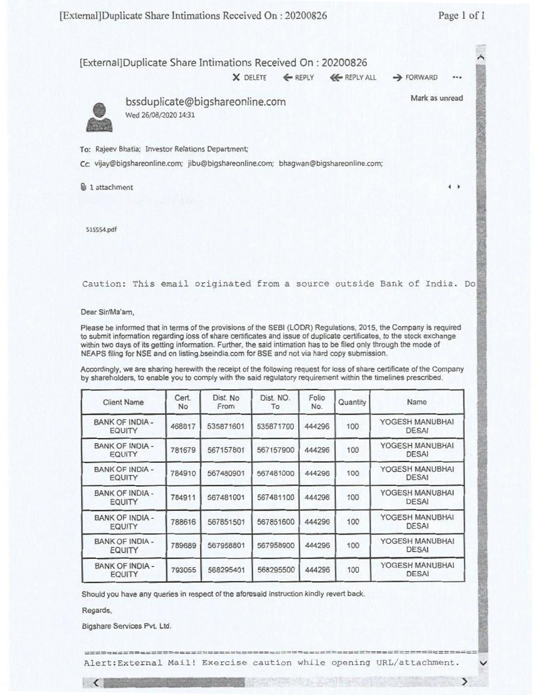

Should you have any queries in respect of the aforesaid instruction kindly revert back.

Regards.

 $\left\langle \right\rangle$ 

Bigshare Services Pvt. Ltd.

BANK OF INDIA -

BANK OF INDIA -

BANK OF INDIA -

BANK OF INDIA -

Alert:External Mail! Exercise caution while opening URL/attachment.

K OF INDIA - 784911 567481001 567481100 444296 100 YOGESH MANUBHAI

IK OF INDIA - 788616 567851501 567851600 444296 100 YOGESH MANUBHAI

K OF INDIA - 789689 567958801 567958900 444296 100 YOGESH MANUBHAI

K OF INDIA - 793055 568295401 568295500 444296 100 YOGESH MANUBHAI

 $\mathcal{F}$ 

 $\checkmark$ 

DESAI

DESAI

DESAI

DESAI